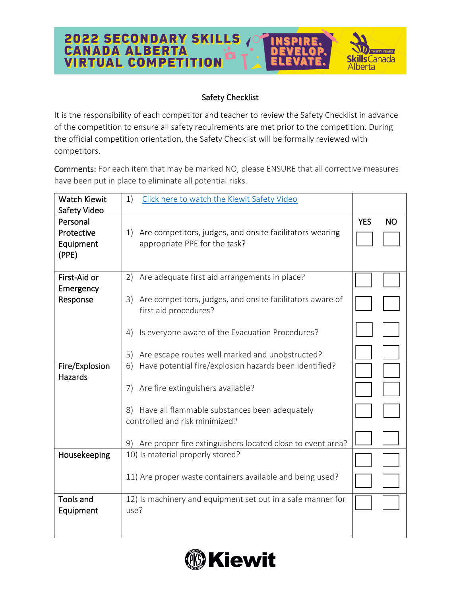

## Safety Checklist

It is the responsibility of each competitor and teacher to review the Safety Checklist in advance of the competition to ensure all safety requirements are met prior to the competition. During the official competition orientation, the Safety Checklist will be formally reviewed with competitors.

Comments: For each item that may be marked NO, please ENSURE that all corrective measures have been put in place to eliminate all potential risks.

| <b>Watch Kiewit</b> | 1)<br>Click here to watch the Kiewit Safety Video               |            |           |
|---------------------|-----------------------------------------------------------------|------------|-----------|
| Safety Video        |                                                                 |            |           |
| Personal            |                                                                 | <b>YES</b> | <b>NO</b> |
| Protective          | Are competitors, judges, and onsite facilitators wearing<br>1)  |            |           |
| Equipment           | appropriate PPE for the task?                                   |            |           |
| (PPE)               |                                                                 |            |           |
| First-Aid or        | Are adequate first aid arrangements in place?<br>2)             |            |           |
| Emergency           |                                                                 |            |           |
| Response            | Are competitors, judges, and onsite facilitators aware of<br>3) |            |           |
|                     | first aid procedures?                                           |            |           |
|                     | Is everyone aware of the Evacuation Procedures?<br>4)           |            |           |
|                     |                                                                 |            |           |
|                     | Are escape routes well marked and unobstructed?<br>5)           |            |           |
| Fire/Explosion      | Have potential fire/explosion hazards been identified?<br>6)    |            |           |
| <b>Hazards</b>      |                                                                 |            |           |
|                     | 7) Are fire extinguishers available?                            |            |           |
|                     | 8) Have all flammable substances been adequately                |            |           |
|                     | controlled and risk minimized?                                  |            |           |
|                     |                                                                 |            |           |
|                     | 9) Are proper fire extinguishers located close to event area?   |            |           |
| Housekeeping        | 10) Is material properly stored?                                |            |           |
|                     |                                                                 |            |           |
|                     | 11) Are proper waste containers available and being used?       |            |           |
| <b>Tools and</b>    | 12) Is machinery and equipment set out in a safe manner for     |            |           |
| Equipment           | use?                                                            |            |           |
|                     |                                                                 |            |           |
|                     |                                                                 |            |           |

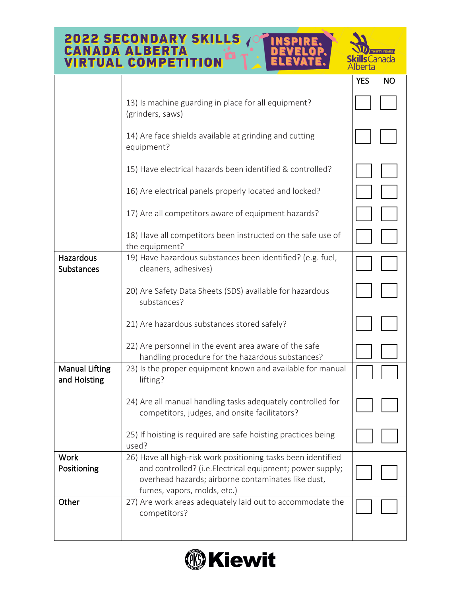## **2022 SECONDARY SKILLS AND CANADA ALBERTA INSPIRE DETAILLER** D ELOP **Skills** Canada Alberta

|                                       |                                                                                                                                                                                                                 | <b>YES</b> | <b>NO</b> |
|---------------------------------------|-----------------------------------------------------------------------------------------------------------------------------------------------------------------------------------------------------------------|------------|-----------|
|                                       | 13) Is machine guarding in place for all equipment?<br>(grinders, saws)                                                                                                                                         |            |           |
|                                       | 14) Are face shields available at grinding and cutting<br>equipment?                                                                                                                                            |            |           |
|                                       | 15) Have electrical hazards been identified & controlled?                                                                                                                                                       |            |           |
|                                       | 16) Are electrical panels properly located and locked?                                                                                                                                                          |            |           |
|                                       | 17) Are all competitors aware of equipment hazards?                                                                                                                                                             |            |           |
|                                       | 18) Have all competitors been instructed on the safe use of<br>the equipment?                                                                                                                                   |            |           |
| Hazardous<br><b>Substances</b>        | 19) Have hazardous substances been identified? (e.g. fuel,<br>cleaners, adhesives)                                                                                                                              |            |           |
|                                       | 20) Are Safety Data Sheets (SDS) available for hazardous<br>substances?                                                                                                                                         |            |           |
|                                       | 21) Are hazardous substances stored safely?                                                                                                                                                                     |            |           |
|                                       | 22) Are personnel in the event area aware of the safe<br>handling procedure for the hazardous substances?                                                                                                       |            |           |
| <b>Manual Lifting</b><br>and Hoisting | 23) Is the proper equipment known and available for manual<br>lifting?                                                                                                                                          |            |           |
|                                       | 24) Are all manual handling tasks adequately controlled for<br>competitors, judges, and onsite facilitators?                                                                                                    |            |           |
|                                       | 25) If hoisting is required are safe hoisting practices being<br>used?                                                                                                                                          |            |           |
| <b>Work</b><br>Positioning            | 26) Have all high-risk work positioning tasks been identified<br>and controlled? (i.e. Electrical equipment; power supply;<br>overhead hazards; airborne contaminates like dust,<br>fumes, vapors, molds, etc.) |            |           |
| Other                                 | 27) Are work areas adequately laid out to accommodate the<br>competitors?                                                                                                                                       |            |           |
|                                       |                                                                                                                                                                                                                 |            |           |